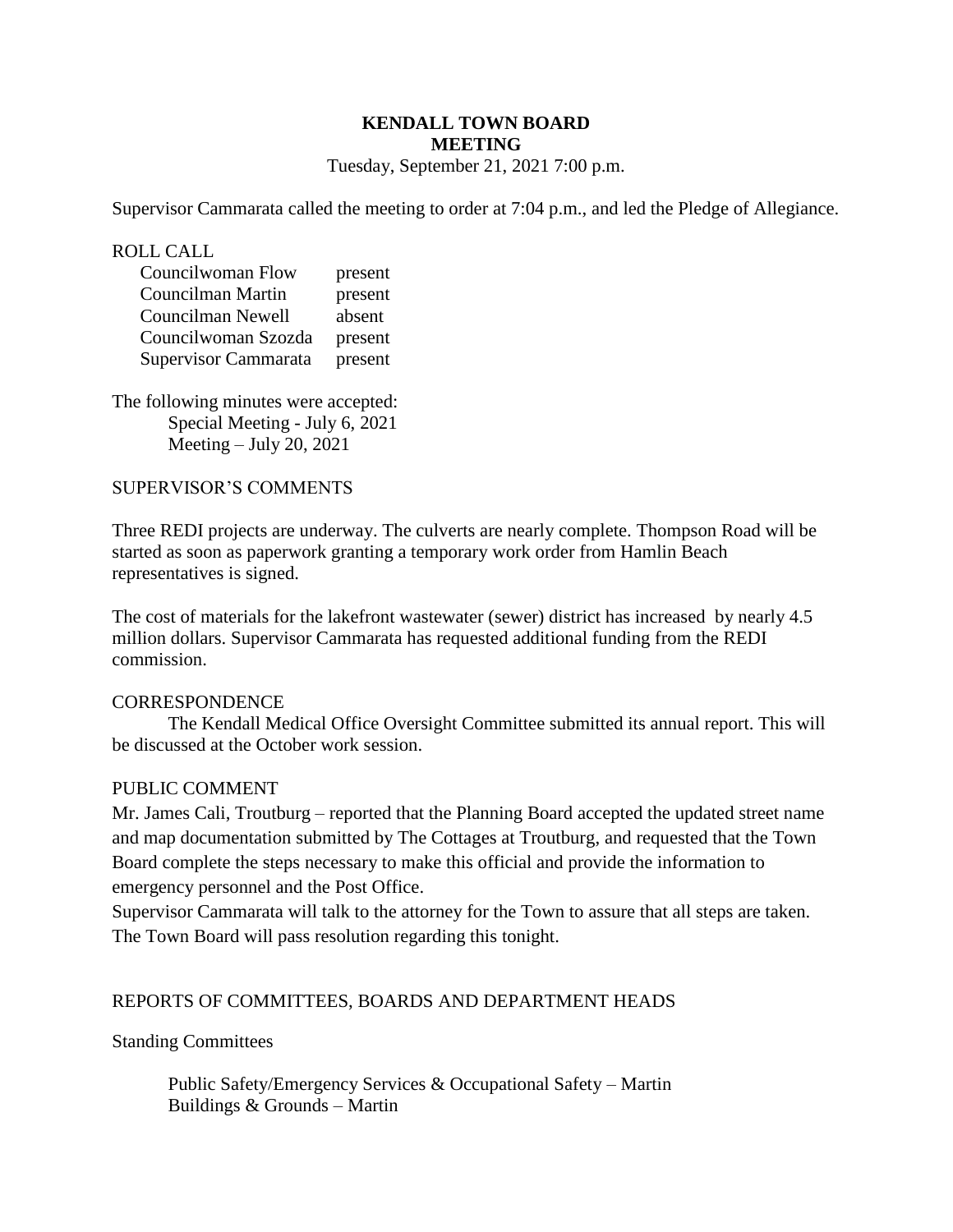## **KENDALL TOWN BOARD MEETING**  Tuesday, September 21, 2021 7:00 p.m.

Supervisor Cammarata called the meeting to order at 7:04 p.m., and led the Pledge of Allegiance.

ROLL CALL

| Councilwoman Flow    | present |
|----------------------|---------|
| Councilman Martin    | present |
| Councilman Newell    | absent  |
| Councilwoman Szozda  | present |
| Supervisor Cammarata | present |

The following minutes were accepted: Special Meeting - July 6, 2021 Meeting  $-$  July 20, 2021

## SUPERVISOR'S COMMENTS

Three REDI projects are underway. The culverts are nearly complete. Thompson Road will be started as soon as paperwork granting a temporary work order from Hamlin Beach representatives is signed.

The cost of materials for the lakefront wastewater (sewer) district has increased by nearly 4.5 million dollars. Supervisor Cammarata has requested additional funding from the REDI commission.

## **CORRESPONDENCE**

The Kendall Medical Office Oversight Committee submitted its annual report. This will be discussed at the October work session.

## PUBLIC COMMENT

Mr. James Cali, Troutburg – reported that the Planning Board accepted the updated street name and map documentation submitted by The Cottages at Troutburg, and requested that the Town Board complete the steps necessary to make this official and provide the information to emergency personnel and the Post Office.

Supervisor Cammarata will talk to the attorney for the Town to assure that all steps are taken. The Town Board will pass resolution regarding this tonight.

## REPORTS OF COMMITTEES, BOARDS AND DEPARTMENT HEADS

#### Standing Committees

 Public Safety/Emergency Services & Occupational Safety – Martin Buildings & Grounds – Martin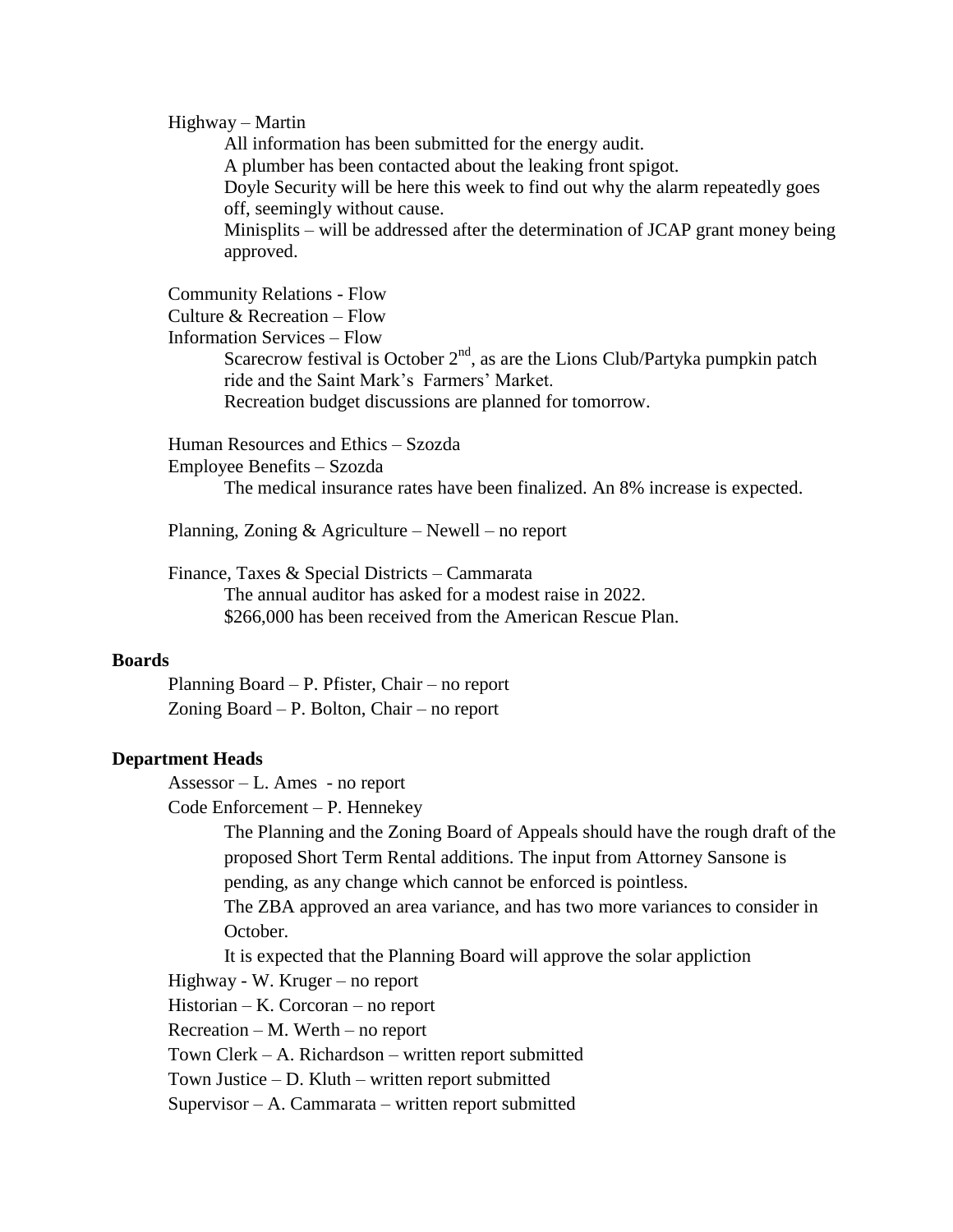#### Highway – Martin

All information has been submitted for the energy audit. A plumber has been contacted about the leaking front spigot. Doyle Security will be here this week to find out why the alarm repeatedly goes off, seemingly without cause. Minisplits – will be addressed after the determination of JCAP grant money being approved.

Community Relations - Flow Culture & Recreation – Flow Information Services – Flow Scarecrow festival is October  $2<sup>nd</sup>$ , as are the Lions Club/Partyka pumpkin patch ride and the Saint Mark's Farmers' Market. Recreation budget discussions are planned for tomorrow.

Human Resources and Ethics – Szozda Employee Benefits – Szozda

The medical insurance rates have been finalized. An 8% increase is expected.

Planning, Zoning & Agriculture – Newell – no report

Finance, Taxes & Special Districts – Cammarata The annual auditor has asked for a modest raise in 2022. \$266,000 has been received from the American Rescue Plan.

## **Boards**

Planning Board – P. Pfister, Chair – no report Zoning Board – P. Bolton, Chair – no report

#### **Department Heads**

Assessor – L. Ames - no report

Code Enforcement – P. Hennekey

The Planning and the Zoning Board of Appeals should have the rough draft of the proposed Short Term Rental additions. The input from Attorney Sansone is pending, as any change which cannot be enforced is pointless.

The ZBA approved an area variance, and has two more variances to consider in October.

It is expected that the Planning Board will approve the solar appliction

Highway - W. Kruger – no report

Historian – K. Corcoran – no report

Recreation – M. Werth – no report

Town Clerk – A. Richardson – written report submitted

Town Justice – D. Kluth – written report submitted

Supervisor – A. Cammarata – written report submitted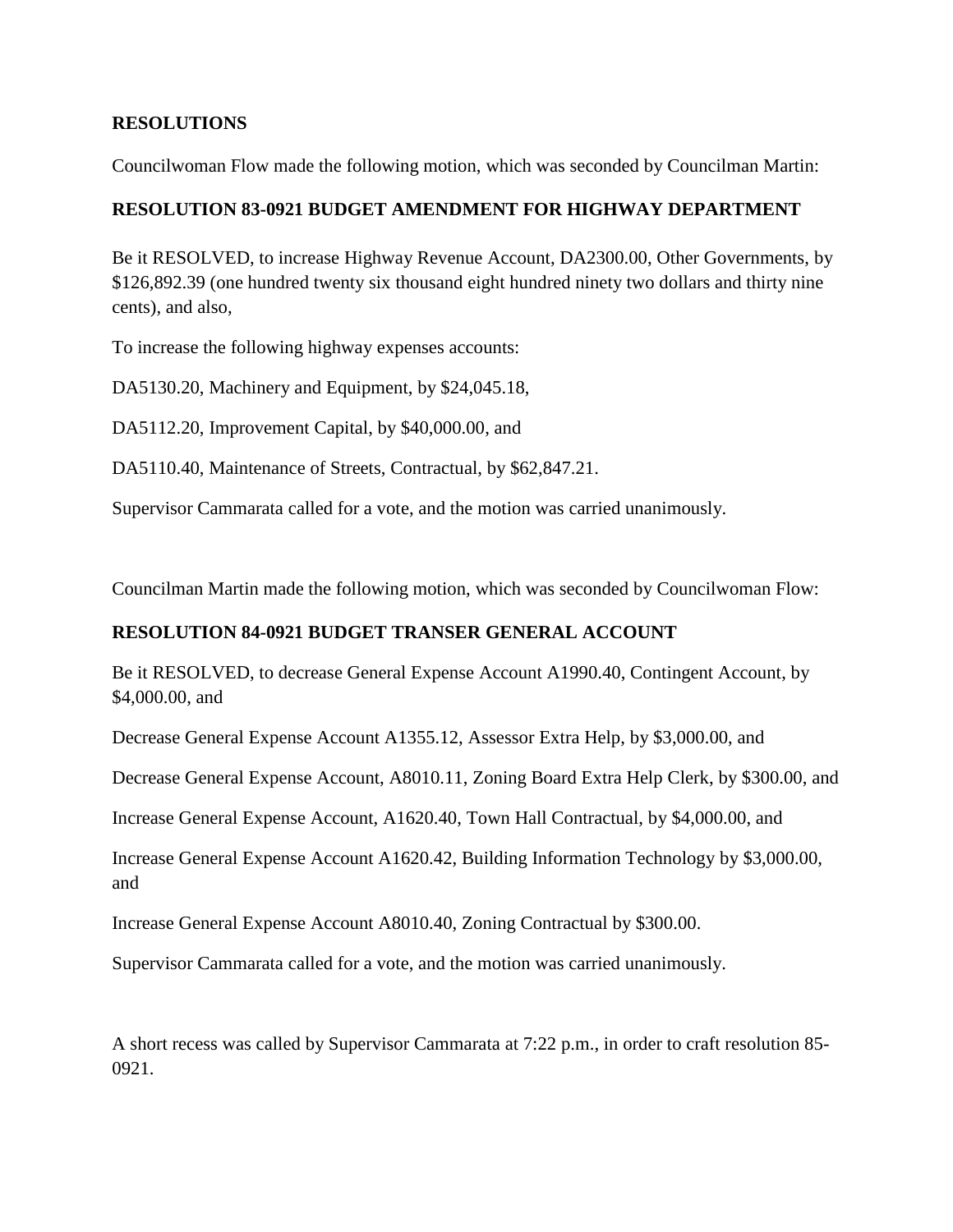# **RESOLUTIONS**

Councilwoman Flow made the following motion, which was seconded by Councilman Martin:

# **RESOLUTION 83-0921 BUDGET AMENDMENT FOR HIGHWAY DEPARTMENT**

Be it RESOLVED, to increase Highway Revenue Account, DA2300.00, Other Governments, by \$126,892.39 (one hundred twenty six thousand eight hundred ninety two dollars and thirty nine cents), and also,

To increase the following highway expenses accounts:

DA5130.20, Machinery and Equipment, by \$24,045.18,

DA5112.20, Improvement Capital, by \$40,000.00, and

DA5110.40, Maintenance of Streets, Contractual, by \$62,847.21.

Supervisor Cammarata called for a vote, and the motion was carried unanimously.

Councilman Martin made the following motion, which was seconded by Councilwoman Flow:

# **RESOLUTION 84-0921 BUDGET TRANSER GENERAL ACCOUNT**

Be it RESOLVED, to decrease General Expense Account A1990.40, Contingent Account, by \$4,000.00, and

Decrease General Expense Account A1355.12, Assessor Extra Help, by \$3,000.00, and

Decrease General Expense Account, A8010.11, Zoning Board Extra Help Clerk, by \$300.00, and

Increase General Expense Account, A1620.40, Town Hall Contractual, by \$4,000.00, and

Increase General Expense Account A1620.42, Building Information Technology by \$3,000.00, and

Increase General Expense Account A8010.40, Zoning Contractual by \$300.00.

Supervisor Cammarata called for a vote, and the motion was carried unanimously.

A short recess was called by Supervisor Cammarata at 7:22 p.m., in order to craft resolution 85- 0921.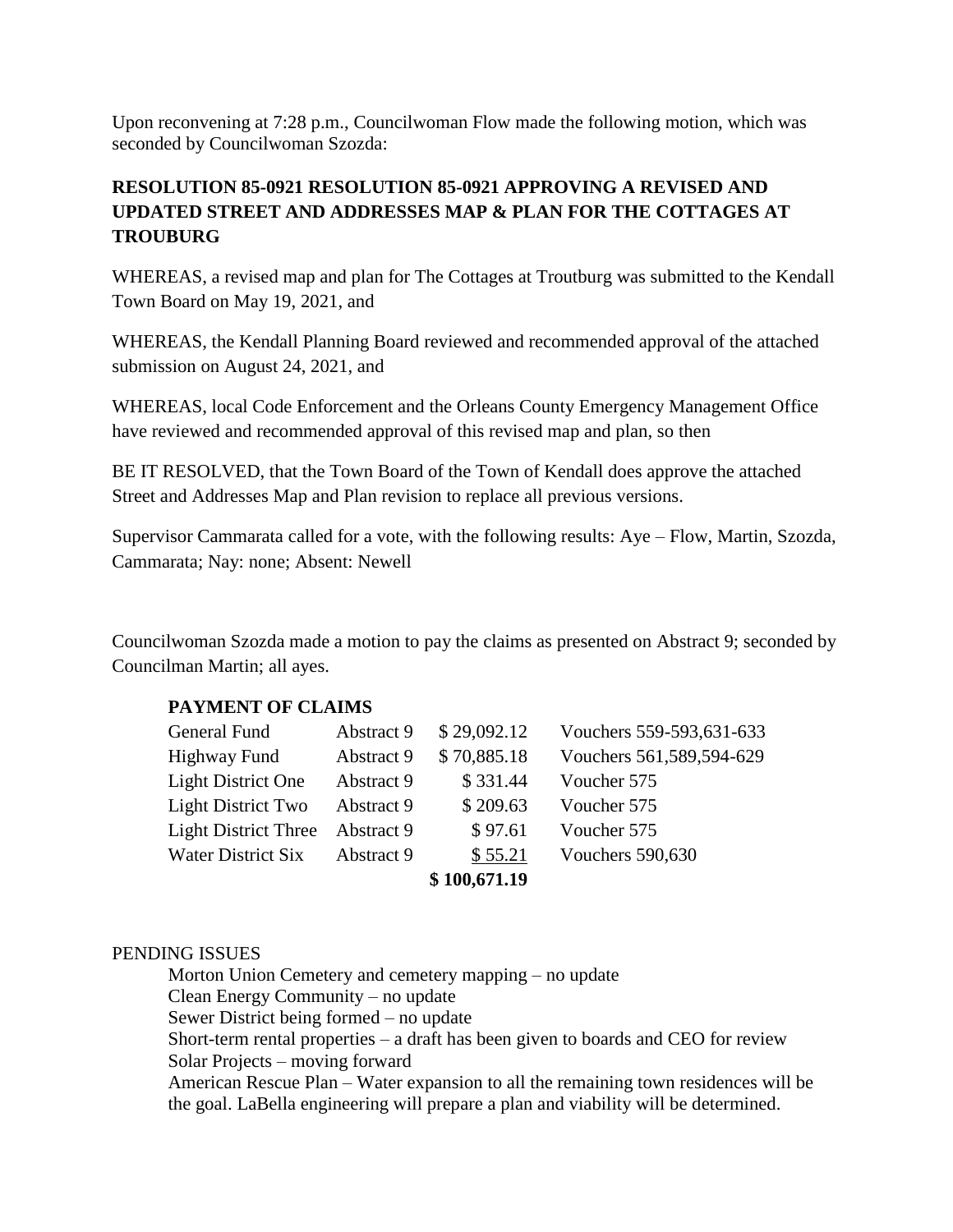Upon reconvening at 7:28 p.m., Councilwoman Flow made the following motion, which was seconded by Councilwoman Szozda:

# **RESOLUTION 85-0921 RESOLUTION 85-0921 APPROVING A REVISED AND UPDATED STREET AND ADDRESSES MAP & PLAN FOR THE COTTAGES AT TROUBURG**

WHEREAS, a revised map and plan for The Cottages at Troutburg was submitted to the Kendall Town Board on May 19, 2021, and

WHEREAS, the Kendall Planning Board reviewed and recommended approval of the attached submission on August 24, 2021, and

WHEREAS, local Code Enforcement and the Orleans County Emergency Management Office have reviewed and recommended approval of this revised map and plan, so then

BE IT RESOLVED, that the Town Board of the Town of Kendall does approve the attached Street and Addresses Map and Plan revision to replace all previous versions.

Supervisor Cammarata called for a vote, with the following results: Aye – Flow, Martin, Szozda, Cammarata; Nay: none; Absent: Newell

Councilwoman Szozda made a motion to pay the claims as presented on Abstract 9; seconded by Councilman Martin; all ayes.

# **PAYMENT OF CLAIMS**

| General Fund                | Abstract 9 | \$29,092.12  | Vouchers 559-593,631-633 |
|-----------------------------|------------|--------------|--------------------------|
| Highway Fund                | Abstract 9 | \$70,885.18  | Vouchers 561,589,594-629 |
| <b>Light District One</b>   | Abstract 9 | \$331.44     | Voucher 575              |
| <b>Light District Two</b>   | Abstract 9 | \$209.63     | Voucher 575              |
| <b>Light District Three</b> | Abstract 9 | \$97.61      | Voucher 575              |
| Water District Six          | Abstract 9 | \$55.21      | <b>Vouchers 590,630</b>  |
|                             |            | \$100,671.19 |                          |

# PENDING ISSUES

Morton Union Cemetery and cemetery mapping – no update Clean Energy Community – no update Sewer District being formed – no update Short-term rental properties – a draft has been given to boards and CEO for review Solar Projects – moving forward American Rescue Plan – Water expansion to all the remaining town residences will be the goal. LaBella engineering will prepare a plan and viability will be determined.